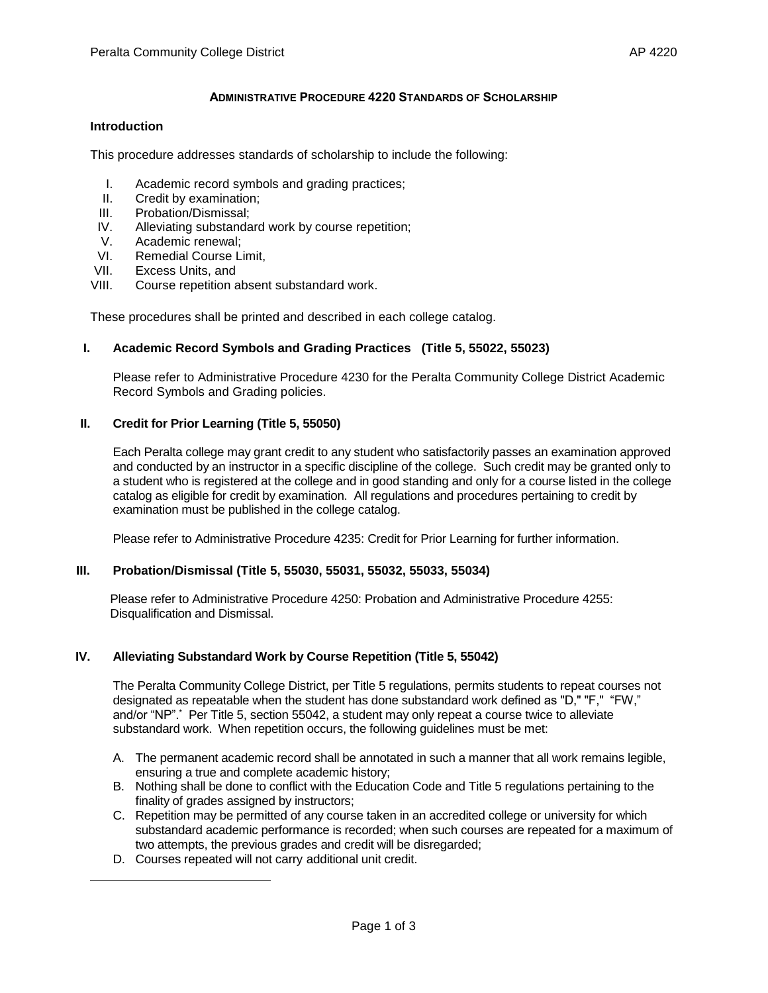### **ADMINISTRATIVE PROCEDURE 4220 STANDARDS OF SCHOLARSHIP**

#### **Introduction**

This procedure addresses standards of scholarship to include the following:

- I. Academic record symbols and grading practices;
- II. Credit by examination;
- III. Probation/Dismissal;
- IV. Alleviating substandard work by course repetition;
- V. Academic renewal;<br>VI. Remedial Course Li
- Remedial Course Limit.
- VII. Excess Units, and
- VIII. Course repetition absent substandard work.

These procedures shall be printed and described in each college catalog.

### **I. Academic Record Symbols and Grading Practices (Title 5, 55022, 55023)**

Please refer to Administrative Procedure 4230 for the Peralta Community College District Academic Record Symbols and Grading policies.

#### **II. Credit for Prior Learning (Title 5, 55050)**

Each Peralta college may grant credit to any student who satisfactorily passes an examination approved and conducted by an instructor in a specific discipline of the college. Such credit may be granted only to a student who is registered at the college and in good standing and only for a course listed in the college catalog as eligible for credit by examination. All regulations and procedures pertaining to credit by examination must be published in the college catalog.

Please refer to Administrative Procedure 4235: Credit for Prior Learning for further information.

#### **III. Probation/Dismissal (Title 5, 55030, 55031, 55032, 55033, 55034)**

 Please refer to Administrative Procedure 4250: Probation and Administrative Procedure 4255: Disqualification and Dismissal.

#### **IV. Alleviating Substandard Work by Course Repetition (Title 5, 55042)**

The Peralta Community College District, per Title 5 regulations, permits students to repeat courses not designated as repeatable when the student has done substandard work defined as "D," "F," "FW," and/or "NP".\* Per Title 5, section 55042, a student may only repeat a course twice to alleviate substandard work. When repetition occurs, the following guidelines must be met:

- A. The permanent academic record shall be annotated in such a manner that all work remains legible, ensuring a true and complete academic history;
- B. Nothing shall be done to conflict with the Education Code and Title 5 regulations pertaining to the finality of grades assigned by instructors;
- C. Repetition may be permitted of any course taken in an accredited college or university for which substandard academic performance is recorded; when such courses are repeated for a maximum of two attempts, the previous grades and credit will be disregarded;
- D. Courses repeated will not carry additional unit credit.

 $\overline{\phantom{a}}$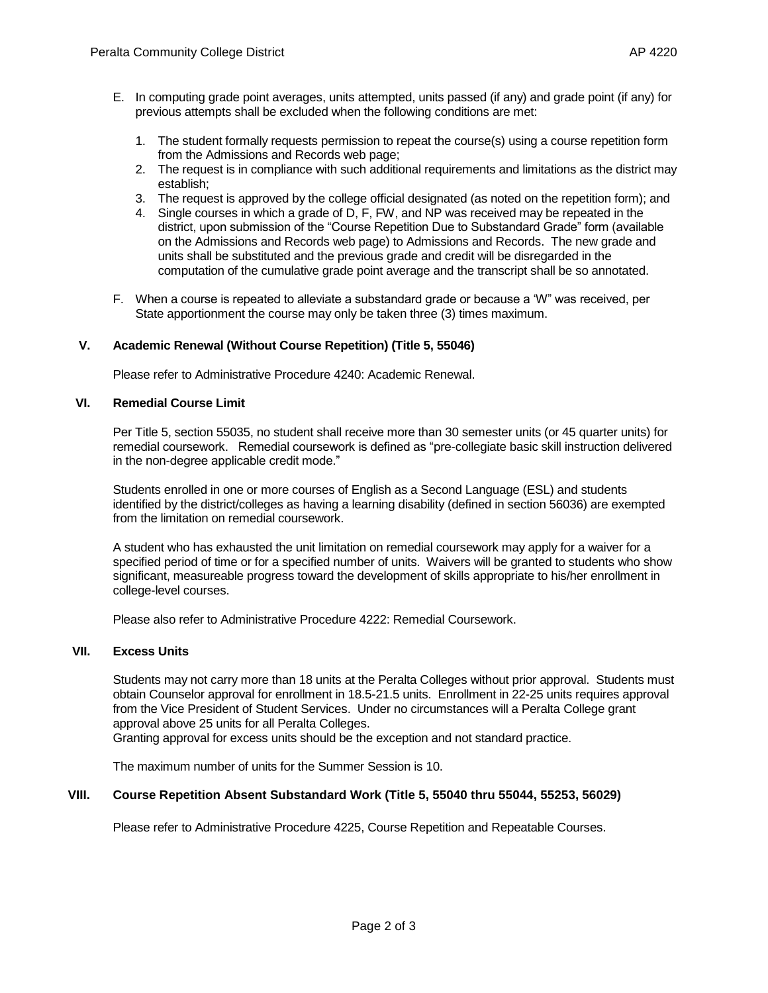- 1. The student formally requests permission to repeat the course(s) using a course repetition form from the Admissions and Records web page;
- 2. The request is in compliance with such additional requirements and limitations as the district may establish;
- 3. The request is approved by the college official designated (as noted on the repetition form); and
- 4. Single courses in which a grade of D, F, FW, and NP was received may be repeated in the district, upon submission of the "Course Repetition Due to Substandard Grade" form (available on the Admissions and Records web page) to Admissions and Records. The new grade and units shall be substituted and the previous grade and credit will be disregarded in the computation of the cumulative grade point average and the transcript shall be so annotated.
- F. When a course is repeated to alleviate a substandard grade or because a 'W" was received, per State apportionment the course may only be taken three (3) times maximum.

# **V. Academic Renewal (Without Course Repetition) (Title 5, 55046)**

Please refer to Administrative Procedure 4240: Academic Renewal.

## **VI. Remedial Course Limit**

Per Title 5, section 55035, no student shall receive more than 30 semester units (or 45 quarter units) for remedial coursework. Remedial coursework is defined as "pre-collegiate basic skill instruction delivered in the non-degree applicable credit mode."

Students enrolled in one or more courses of English as a Second Language (ESL) and students identified by the district/colleges as having a learning disability (defined in section 56036) are exempted from the limitation on remedial coursework.

A student who has exhausted the unit limitation on remedial coursework may apply for a waiver for a specified period of time or for a specified number of units. Waivers will be granted to students who show significant, measureable progress toward the development of skills appropriate to his/her enrollment in college-level courses.

Please also refer to Administrative Procedure 4222: Remedial Coursework.

## **VII. Excess Units**

Students may not carry more than 18 units at the Peralta Colleges without prior approval. Students must obtain Counselor approval for enrollment in 18.5-21.5 units. Enrollment in 22-25 units requires approval from the Vice President of Student Services. Under no circumstances will a Peralta College grant approval above 25 units for all Peralta Colleges.

Granting approval for excess units should be the exception and not standard practice.

The maximum number of units for the Summer Session is 10.

#### **VIII. Course Repetition Absent Substandard Work (Title 5, 55040 thru 55044, 55253, 56029)**

Please refer to Administrative Procedure 4225, Course Repetition and Repeatable Courses.